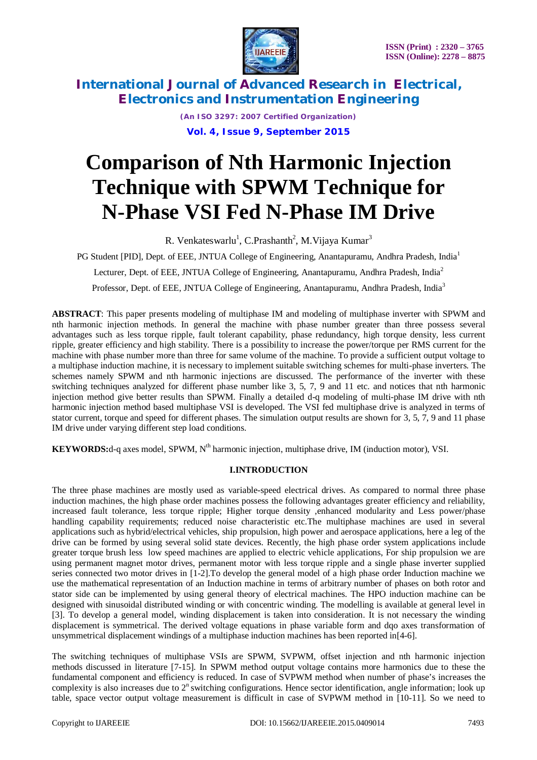

> *(An ISO 3297: 2007 Certified Organization)* **Vol. 4, Issue 9, September 2015**

# **Comparison of Nth Harmonic Injection Technique with SPWM Technique for N-Phase VSI Fed N-Phase IM Drive**

R. Venkateswarlu<sup>1</sup>, C.Prashanth<sup>2</sup>, M. Vijaya Kumar<sup>3</sup>

PG Student [PID], Dept. of EEE, JNTUA College of Engineering, Anantapuramu, Andhra Pradesh, India<sup>1</sup> Lecturer, Dept. of EEE, JNTUA College of Engineering, Anantapuramu, Andhra Pradesh, India<sup>2</sup> Professor, Dept. of EEE, JNTUA College of Engineering, Anantapuramu, Andhra Pradesh, India<sup>3</sup>

**ABSTRACT**: This paper presents modeling of multiphase IM and modeling of multiphase inverter with SPWM and nth harmonic injection methods. In general the machine with phase number greater than three possess several advantages such as less torque ripple, fault tolerant capability, phase redundancy, high torque density, less current ripple, greater efficiency and high stability. There is a possibility to increase the power/torque per RMS current for the machine with phase number more than three for same volume of the machine. To provide a sufficient output voltage to a multiphase induction machine, it is necessary to implement suitable switching schemes for multi-phase inverters. The schemes namely SPWM and nth harmonic injections are discussed. The performance of the inverter with these switching techniques analyzed for different phase number like 3, 5, 7, 9 and 11 etc. and notices that nth harmonic injection method give better results than SPWM. Finally a detailed d-q modeling of multi-phase IM drive with nth harmonic injection method based multiphase VSI is developed. The VSI fed multiphase drive is analyzed in terms of stator current, torque and speed for different phases. The simulation output results are shown for 3, 5, 7, 9 and 11 phase IM drive under varying different step load conditions.

**KEYWORDS:**d-q axes model, SPWM, N<sup>th</sup> harmonic injection, multiphase drive, IM (induction motor), VSI.

### **I.INTRODUCTION**

The three phase machines are mostly used as variable-speed electrical drives. As compared to normal three phase induction machines, the high phase order machines possess the following advantages greater efficiency and reliability, increased fault tolerance, less torque ripple; Higher torque density ,enhanced modularity and Less power/phase handling capability requirements; reduced noise characteristic etc.The multiphase machines are used in several applications such as hybrid/electrical vehicles, ship propulsion, high power and aerospace applications, here a leg of the drive can be formed by using several solid state devices. Recently, the high phase order system applications include greater torque brush less low speed machines are applied to electric vehicle applications, For ship propulsion we are using permanent magnet motor drives, permanent motor with less torque ripple and a single phase inverter supplied series connected two motor drives in [1-2].To develop the general model of a high phase order Induction machine we use the mathematical representation of an Induction machine in terms of arbitrary number of phases on both rotor and stator side can be implemented by using general theory of electrical machines. The HPO induction machine can be designed with sinusoidal distributed winding or with concentric winding. The modelling is available at general level in [3]. To develop a general model, winding displacement is taken into consideration. It is not necessary the winding displacement is symmetrical. The derived voltage equations in phase variable form and dqo axes transformation of unsymmetrical displacement windings of a multiphase induction machines has been reported in[4-6].

The switching techniques of multiphase VSIs are SPWM, SVPWM, offset injection and nth harmonic injection methods discussed in literature [7-15]. In SPWM method output voltage contains more harmonics due to these the fundamental component and efficiency is reduced. In case of SVPWM method when number of phase's increases the complexity is also increases due to  $2<sup>n</sup>$  switching configurations. Hence sector identification, angle information; look up table, space vector output voltage measurement is difficult in case of SVPWM method in [10-11]. So we need to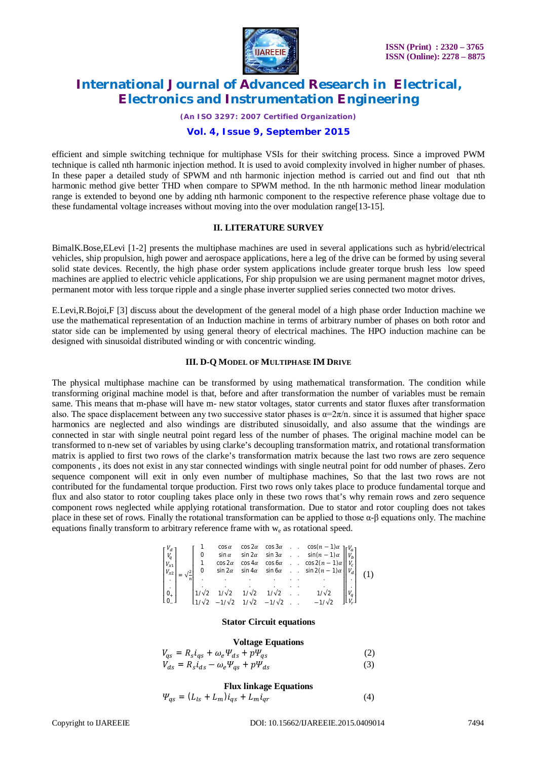

*(An ISO 3297: 2007 Certified Organization)*

### **Vol. 4, Issue 9, September 2015**

efficient and simple switching technique for multiphase VSIs for their switching process. Since a improved PWM technique is called nth harmonic injection method. It is used to avoid complexity involved in higher number of phases. In these paper a detailed study of SPWM and nth harmonic injection method is carried out and find out that nth harmonic method give better THD when compare to SPWM method. In the nth harmonic method linear modulation range is extended to beyond one by adding nth harmonic component to the respective reference phase voltage due to these fundamental voltage increases without moving into the over modulation range[13-15].

#### **II. LITERATURE SURVEY**

BimalK.Bose,ELevi [1-2] presents the multiphase machines are used in several applications such as hybrid/electrical vehicles, ship propulsion, high power and aerospace applications, here a leg of the drive can be formed by using several solid state devices. Recently, the high phase order system applications include greater torque brush less low speed machines are applied to electric vehicle applications, For ship propulsion we are using permanent magnet motor drives, permanent motor with less torque ripple and a single phase inverter supplied series connected two motor drives.

E.Levi,R.Bojoi,F [3] discuss about the development of the general model of a high phase order Induction machine we use the mathematical representation of an Induction machine in terms of arbitrary number of phases on both rotor and stator side can be implemented by using general theory of electrical machines. The HPO induction machine can be designed with sinusoidal distributed winding or with concentric winding.

### **III. D-Q MODEL OF MULTIPHASE IM DRIVE**

The physical multiphase machine can be transformed by using mathematical transformation. The condition while transforming original machine model is that, before and after transformation the number of variables must be remain same. This means that m-phase will have m- new stator voltages, stator currents and stator fluxes after transformation also. The space displacement between any two successive stator phases is  $\alpha = 2\pi/n$ . since it is assumed that higher space harmonics are neglected and also windings are distributed sinusoidally, and also assume that the windings are connected in star with single neutral point regard less of the number of phases. The original machine model can be transformed to n-new set of variables by using clarke's decoupling transformation matrix, and rotational transformation matrix is applied to first two rows of the clarke's transformation matrix because the last two rows are zero sequence components , its does not exist in any star connected windings with single neutral point for odd number of phases. Zero sequence component will exit in only even number of multiphase machines, So that the last two rows are not contributed for the fundamental torque production. First two rows only takes place to produce fundamental torque and flux and also stator to rotor coupling takes place only in these two rows that's why remain rows and zero sequence component rows neglected while applying rotational transformation. Due to stator and rotor coupling does not takes place in these set of rows. Finally the rotational transformation can be applied to those α-β equations only. The machine equations finally transform to arbitrary reference frame with  $w_e$  as rotational speed.

$$
\begin{bmatrix} V_d \\ V_q \\ V_{x1} \\ V_{xz} \\ V_{xz} \\ 0 \\ 0 \\ 0 \\ 0 \\ \end{bmatrix} = \sqrt{\frac{2}{n}} \begin{bmatrix} 1 & \cos \alpha & \cos 2\alpha & \cos 3\alpha & \cos (n-1)\alpha \\ 0 & \sin \alpha & \sin 2\alpha & \sin 3\alpha & \sin (n-1)\alpha \\ 1 & \cos 2\alpha & \cos 4\alpha & \cos 6\alpha & \cos 2(n-1)\alpha \\ \sin 2\alpha & \sin 4\alpha & \sin 6\alpha & \sin 2(n-1)\alpha \\ \cdot & \cdot & \cdot & \cdot \\ 1/\sqrt{2} & 1/\sqrt{2} & 1/\sqrt{2} & 1/\sqrt{2} & 1/\sqrt{2} \\ 1/\sqrt{2} & -1/\sqrt{2} & 1/\sqrt{2} & -1/\sqrt{2} & -1/\sqrt{2} \end{bmatrix} \begin{bmatrix} V_d \\ V_b \\ V_c \\ V_d \\ V_d \\ V_r \\ V_r \end{bmatrix}
$$
 (1)

#### **Stator Circuit equations**

#### **Voltage Equations**

$$
V_{qs} = R_s i_{qs} + \omega_e \Psi_{ds} + p \Psi_{qs}
$$
  
\n
$$
V_{ds} = R_s i_{ds} - \omega_e \Psi_{qs} + p \Psi_{ds}
$$
\n(2)

#### **Flux linkage Equations**

$$
\Psi_{qs} = (L_{ls} + L_m)\dot{i}_{qs} + L_m \dot{i}_{qr} \tag{4}
$$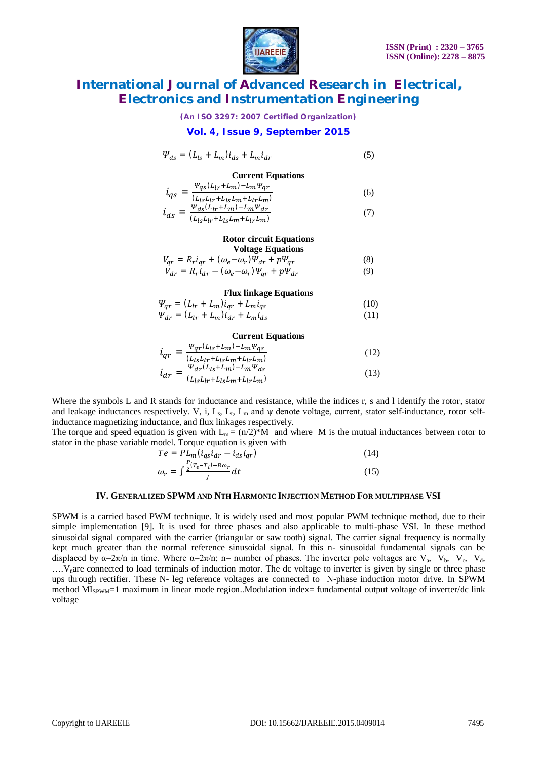

*(An ISO 3297: 2007 Certified Organization)*

### **Vol. 4, Issue 9, September 2015**

$$
\Psi_{ds} = (L_{ls} + L_m)\dot{i}_{ds} + L_m\dot{i}_{dr} \tag{5}
$$

#### **Current Equations**

$$
i_{qs} = \frac{\Psi_{qs}(L_{lr} + L_m) - L_m \Psi_{qr}}{(L_{ls}L_{lr} + L_{ls}L_m + L_{lr}L_m)}
$$
(6)

$$
\dot{l}_{ds} = \frac{\Psi_{ds}(L_{lr} + L_m) - L_m \Psi_{dr}}{(L_{ls} L_{lr} + L_{ls} L_m + L_{lr} L_m)}
$$
(7)

#### **Rotor circuit Equations Voltage Equations**

$$
V_{qr} = R_r i_{qr} + (\omega_e - \omega_r) \Psi_{dr} + p \Psi_{qr}
$$
 (8)

$$
V_{dr} = R_r i_{dr} - (\omega_e - \omega_r) \Psi_{qr} + p \Psi_{dr}
$$
 (9)

#### **Flux linkage Equations**

$$
\Psi_{qr} = (L_{lr} + L_m)\dot{i}_{qr} + L_m\dot{i}_{qs}
$$
\n(10)

$$
\Psi_{dr} = (L_{lr} + L_m)\dot{i}_{dr} + L_m\dot{i}_{ds} \tag{11}
$$

### **Current Equations**

$$
i_{qr} = \frac{\Psi_{qr}(L_{ls} + L_m) - L_m \Psi_{qs}}{(L_{ls}L_{lr} + L_{ls}L_m + L_{lr}L_m)}
$$
(12)

$$
\dot{l}_{dr} = \frac{\Psi_{dr}^{(L_{ls} + L_{m}) - L_{m} \Psi_{ds}}}{(L_{ls} L_{lr} + L_{ls} L_{m} + L_{lr} L_{m})}
$$
(13)

Where the symbols L and R stands for inductance and resistance, while the indices r, s and l identify the rotor, stator and leakage inductances respectively. V, i,  $L_s$ ,  $L_r$ ,  $L_m$  and  $\psi$  denote voltage, current, stator self-inductance, rotor selfinductance magnetizing inductance, and flux linkages respectively.

The torque and speed equation is given with  $L_m = (n/2)^*M$  and where M is the mutual inductances between rotor to stator in the phase variable model. Torque equation is given with

$$
Te = PL_m(i_{qs}i_{dr} - i_{ds}i_{qr})
$$
  
\n
$$
\omega_r = \int \frac{P(T_e - T_l) - B\omega_r}{I} dt
$$
\n(15)

J

#### **IV. GENERALIZED SPWM AND NTH HARMONIC INJECTION METHOD FOR MULTIPHASE VSI**

SPWM is a carried based PWM technique. It is widely used and most popular PWM technique method, due to their simple implementation [9]. It is used for three phases and also applicable to multi-phase VSI. In these method sinusoidal signal compared with the carrier (triangular or saw tooth) signal. The carrier signal frequency is normally kept much greater than the normal reference sinusoidal signal. In this n- sinusoidal fundamental signals can be displaced by  $\alpha=2\pi/n$  in time. Where  $\alpha=2\pi/n$ ; n= number of phases. The inverter pole voltages are V<sub>a</sub>, V<sub>b</sub>, V<sub>c</sub>, V<sub>d</sub>,

....V<sub>n</sub>are connected to load terminals of induction motor. The dc voltage to inverter is given by single or three phase ups through rectifier. These N- leg reference voltages are connected to N-phase induction motor drive. In SPWM method  $M_{\text{SPWM}}=1$  maximum in linear mode region..Modulation index= fundamental output voltage of inverter/dc link voltage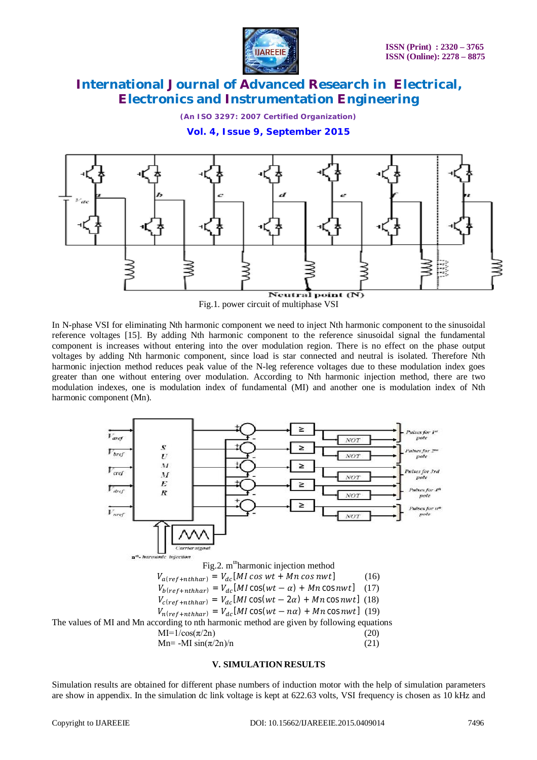

*(An ISO 3297: 2007 Certified Organization)*

**Vol. 4, Issue 9, September 2015**



Fig.1. power circuit of multiphase VSI

In N-phase VSI for eliminating Nth harmonic component we need to inject Nth harmonic component to the sinusoidal reference voltages [15]. By adding Nth harmonic component to the reference sinusoidal signal the fundamental component is increases without entering into the over modulation region. There is no effect on the phase output voltages by adding Nth harmonic component, since load is star connected and neutral is isolated. Therefore Nth harmonic injection method reduces peak value of the N-leg reference voltages due to these modulation index goes greater than one without entering over modulation. According to Nth harmonic injection method, there are two modulation indexes, one is modulation index of fundamental (MI) and another one is modulation index of Nth harmonic component (Mn).



### **V. SIMULATION RESULTS**

Simulation results are obtained for different phase numbers of induction motor with the help of simulation parameters are show in appendix. In the simulation dc link voltage is kept at 622.63 volts, VSI frequency is chosen as 10 kHz and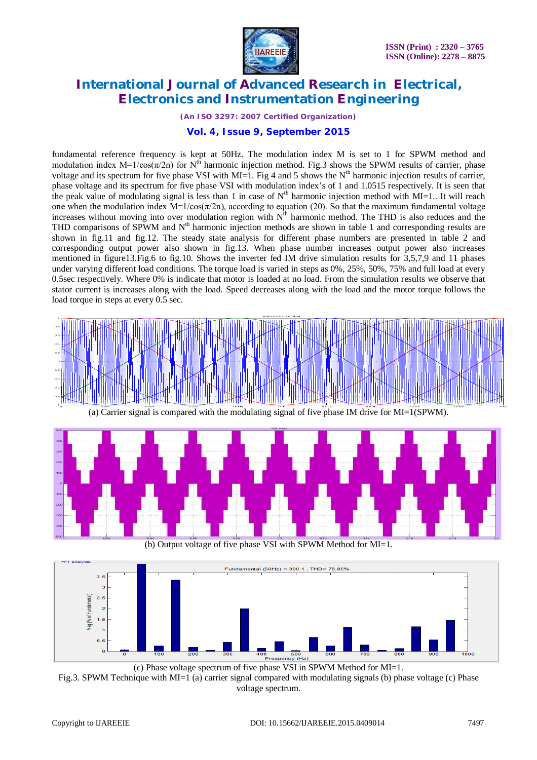

*(An ISO 3297: 2007 Certified Organization)*

### **Vol. 4, Issue 9, September 2015**

fundamental reference frequency is kept at 50Hz. The modulation index M is set to 1 for SPWM method and modulation index M=1/cos( $\pi/2n$ ) for N<sup>th</sup> harmonic injection method. Fig.3 shows the SPWM results of carrier, phase voltage and its spectrum for five phase VSI with MI=1. Fig 4 and 5 shows the  $N<sup>th</sup>$  harmonic injection results of carrier, phase voltage and its spectrum for five phase VSI with modulation index's of 1 and 1.0515 respectively. It is seen that the peak value of modulating signal is less than 1 in case of  $N^{th}$  harmonic injection method with MI=1.. It will reach one when the modulation index  $M=1/cos(\pi/2n)$ , according to equation (20). So that the maximum fundamental voltage increases without moving into over modulation region with  $N<sup>th</sup>$  harmonic method. The THD is also reduces and the THD comparisons of SPWM and  $N<sup>th</sup>$  harmonic injection methods are shown in table 1 and corresponding results are shown in fig.11 and fig.12. The steady state analysis for different phase numbers are presented in table 2 and corresponding output power also shown in fig.13. When phase number increases output power also increases mentioned in figure13.Fig.6 to fig.10. Shows the inverter fed IM drive simulation results for 3,5,7,9 and 11 phases under varying different load conditions. The torque load is varied in steps as 0%, 25%, 50%, 75% and full load at every 0.5sec respectively. Where 0% is indicate that motor is loaded at no load. From the simulation results we observe that stator current is increases along with the load. Speed decreases along with the load and the motor torque follows the load torque in steps at every 0.5 sec.







(c) Phase voltage spectrum of five phase VSI in SPWM Method for MI=1. Fig.3. SPWM Technique with MI=1 (a) carrier signal compared with modulating signals (b) phase voltage (c) Phase voltage spectrum.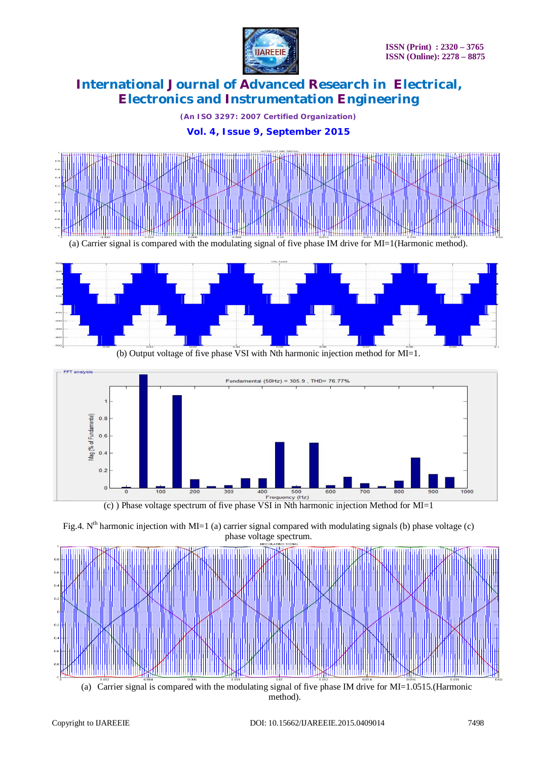

*(An ISO 3297: 2007 Certified Organization)*

### **Vol. 4, Issue 9, September 2015**



(a) Carrier signal is compared with the modulating signal of five phase IM drive for MI=1(Harmonic method).



(b) Output voltage of five phase VSI with Nth harmonic injection method for MI=1.





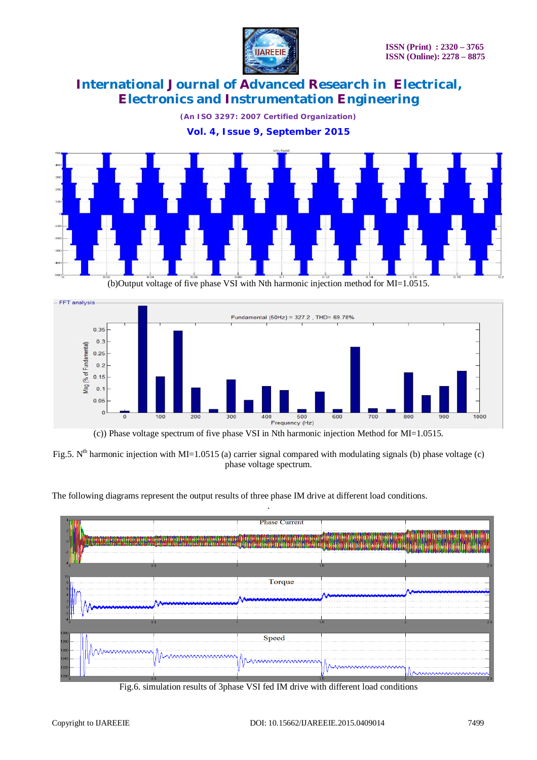

*(An ISO 3297: 2007 Certified Organization)*

**Vol. 4, Issue 9, September 2015**



(b)Output voltage of five phase VSI with Nth harmonic injection method for MI=1.0515.



Fig.5. N<sup>th</sup> harmonic injection with MI=1.0515 (a) carrier signal compared with modulating signals (b) phase voltage (c) phase voltage spectrum.

.

The following diagrams represent the output results of three phase IM drive at different load conditions.



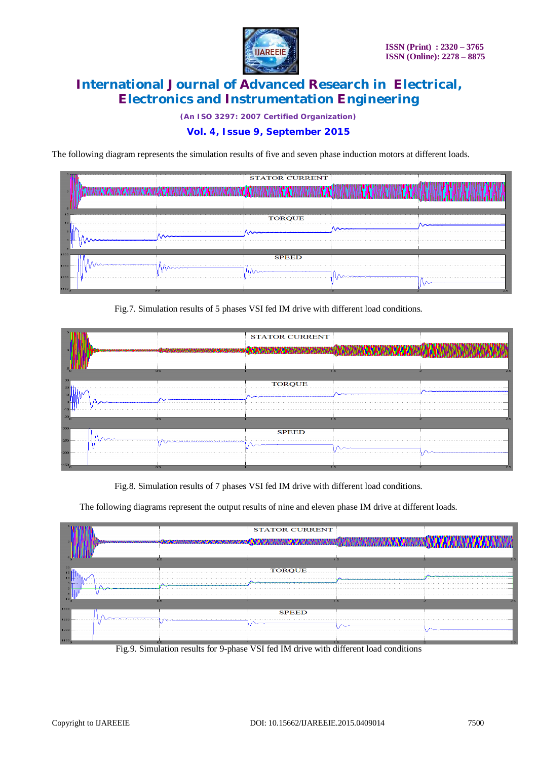

*(An ISO 3297: 2007 Certified Organization)*

### **Vol. 4, Issue 9, September 2015**

The following diagram represents the simulation results of five and seven phase induction motors at different loads.

|              |     | <b>STATOR CURRENT</b> |    |  |
|--------------|-----|-----------------------|----|--|
| 10           |     | <b>TORQUE</b>         |    |  |
| 1200<br>1150 | 0.5 | <b>SPEED</b><br>.     | 15 |  |

Fig.7. Simulation results of 5 phases VSI fed IM drive with different load conditions.

|             |                 |        | <b>STATOR CURRENT</b> |     |     |
|-------------|-----------------|--------|-----------------------|-----|-----|
|             |                 | 0.5    |                       | 1.5 | 2.5 |
|             |                 | TORQUE |                       |     |     |
|             |                 |        |                       |     |     |
| -10<br>300  |                 | 0.5    |                       | . . |     |
| 250         |                 |        | <b>SPEED</b>          |     |     |
| 1200<br>150 | ----------<br>. | 0.5    |                       | 1.5 |     |

Fig.8. Simulation results of 7 phases VSI fed IM drive with different load conditions.

The following diagrams represent the output results of nine and eleven phase IM drive at different loads.



Fig.9. Simulation results for 9-phase VSI fed IM drive with different load conditions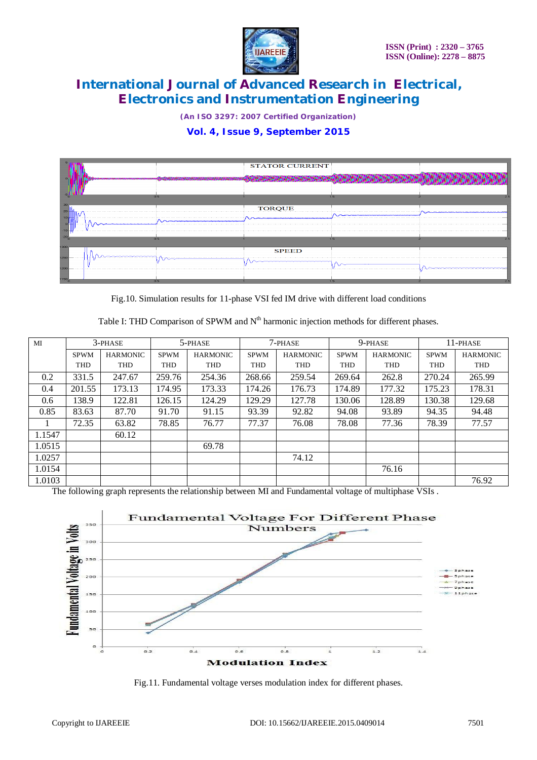

*(An ISO 3297: 2007 Certified Organization)*

### **Vol. 4, Issue 9, September 2015**

|            |     | <b>STATOR CURRENT</b> |      |  |
|------------|-----|-----------------------|------|--|
|            |     |                       |      |  |
|            |     |                       |      |  |
|            | 0.5 |                       | 1.5. |  |
|            |     | <b>TORQUE</b>         |      |  |
| 10         |     |                       |      |  |
| œ<br>$-10$ |     |                       |      |  |
|            | 0.5 |                       | 1.5  |  |
|            |     | <b>SPEED</b>          |      |  |
|            |     |                       |      |  |
| 1200       |     |                       |      |  |
|            | 0.5 |                       | 1.5  |  |

Fig.10. Simulation results for 11-phase VSI fed IM drive with different load conditions

Table I: THD Comparison of SPWM and  $N<sup>th</sup>$  harmonic injection methods for different phases.

| MI     | 3-PHASE     |                 | 5-PHASE     |                 | 7-PHASE     |                 | 9-phase     |                 | 11-PHASE    |                 |
|--------|-------------|-----------------|-------------|-----------------|-------------|-----------------|-------------|-----------------|-------------|-----------------|
|        | <b>SPWM</b> | <b>HARMONIC</b> | <b>SPWM</b> | <b>HARMONIC</b> | <b>SPWM</b> | <b>HARMONIC</b> | <b>SPWM</b> | <b>HARMONIC</b> | <b>SPWM</b> | <b>HARMONIC</b> |
|        | <b>THD</b>  | <b>THD</b>      | THD         | <b>THD</b>      | THD         | <b>THD</b>      | <b>THD</b>  | THD             | <b>THD</b>  | <b>THD</b>      |
| 0.2    | 331.5       | 247.67          | 259.76      | 254.36          | 268.66      | 259.54          | 269.64      | 262.8           | 270.24      | 265.99          |
| 0.4    | 201.55      | 173.13          | 174.95      | 173.33          | 174.26      | 176.73          | 174.89      | 177.32          | 175.23      | 178.31          |
| 0.6    | 138.9       | 122.81          | 126.15      | 124.29          | 129.29      | 127.78          | 130.06      | 128.89          | 130.38      | 129.68          |
| 0.85   | 83.63       | 87.70           | 91.70       | 91.15           | 93.39       | 92.82           | 94.08       | 93.89           | 94.35       | 94.48           |
|        | 72.35       | 63.82           | 78.85       | 76.77           | 77.37       | 76.08           | 78.08       | 77.36           | 78.39       | 77.57           |
| 1.1547 |             | 60.12           |             |                 |             |                 |             |                 |             |                 |
| 1.0515 |             |                 |             | 69.78           |             |                 |             |                 |             |                 |
| 1.0257 |             |                 |             |                 |             | 74.12           |             |                 |             |                 |
| 1.0154 |             |                 |             |                 |             |                 |             | 76.16           |             |                 |
| 1.0103 |             |                 |             |                 |             |                 |             |                 |             | 76.92           |

The following graph represents the relationship between MI and Fundamental voltage of multiphase VSIs .



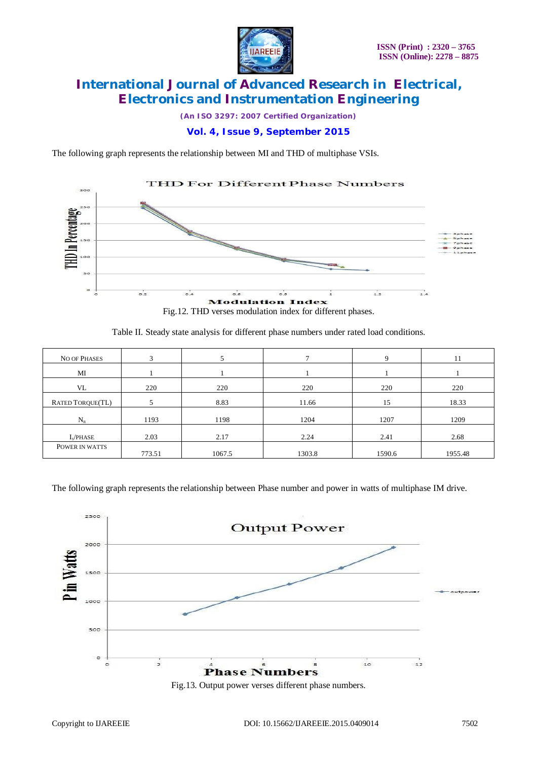

*(An ISO 3297: 2007 Certified Organization)*

### **Vol. 4, Issue 9, September 2015**

The following graph represents the relationship between MI and THD of multiphase VSIs.



Fig.12. THD verses modulation index for different phases.

Table II. Steady state analysis for different phase numbers under rated load conditions.

| <b>NO OF PHASES</b>        | 3      |        |        | $\mathbf Q$ | 11      |
|----------------------------|--------|--------|--------|-------------|---------|
| MI                         |        |        |        |             |         |
| VL                         | 220    | 220    | 220    | 220         | 220     |
| <b>RATED TORQUE(TL)</b>    |        | 8.83   | 11.66  | 15          | 18.33   |
| $N_{R}$                    | 1193   | 1198   | 1204   | 1207        | 1209    |
| $I_{\rm s}/\mathrm{PHASE}$ | 2.03   | 2.17   | 2.24   | 2.41        | 2.68    |
| POWER IN WATTS             | 773.51 | 1067.5 | 1303.8 | 1590.6      | 1955.48 |

The following graph represents the relationship between Phase number and power in watts of multiphase IM drive.